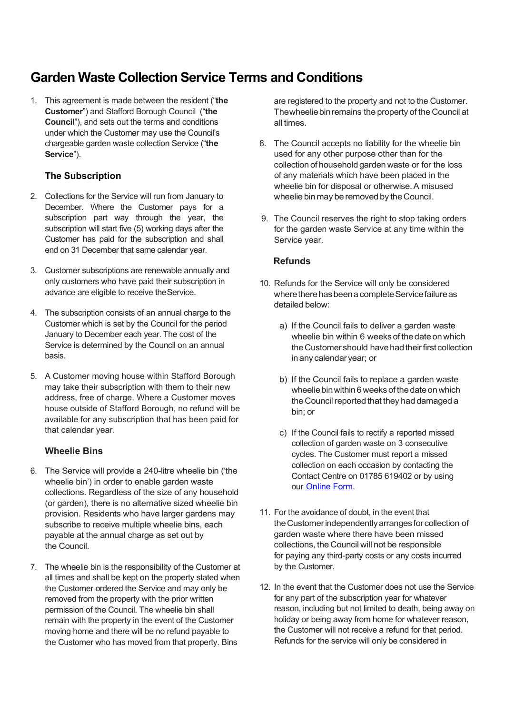# Garden Waste Collection Service Terms and Conditions

1. This agreement is made between the resident ("the **Customer**") and Stafford Borough Council ("the **Council**"), and sets out the terms and conditions under which the Customer may use the Council's chargeable garden waste collection Service ("the Service").

# The Subscription

- 2. Collections for the Service will run from January to December. Where the Customer pays for a subscription part way through the year, the subscription will start five (5) working days after the Customer has paid for the subscription and shall end on 31 December that same calendar year.
- 3. Customer subscriptions are renewable annually and only customers who have paid their subscription in advance are eligible to receive theService.
- 4. The subscription consists of an annual charge to the Customer which is set by the Council for the period January to December each year. The cost of the Service is determined by the Council on an annual basis.
- 5. A Customer moving house within Stafford Borough may take their subscription with them to their new address, free of charge. Where a Customer moves house outside of Stafford Borough, no refund will be available for any subscription that has been paid for that calendar year.

## Wheelie Bins

- 6. The Service will provide a 240-litre wheelie bin ('the wheelie bin') in order to enable garden waste collections. Regardless of the size of any household (or garden), there is no alternative sized wheelie bin provision. Residents who have larger gardens may subscribe to receive multiple wheelie bins, each payable at the annual charge as set out by the Council.
- 7. The wheelie bin is the responsibility of the Customer at all times and shall be kept on the property stated when the Customer ordered the Service and may only be removed from the property with the prior written permission of the Council. The wheelie bin shall remain with the property in the event of the Customer moving home and there will be no refund payable to the Customer who has moved from that property. Bins

 are registered to the property and not to the Customer. Thewheeliebinremains the property of the Council at all times.

- 8. The Council accepts no liability for the wheelie bin used for any other purpose other than for the collection of household gardenwaste or for the loss wheelie bin for disposal or otherwise.A misused wheelie bin may be removed by the Council. of any materials which have been placed in the
- 9. The Council reserves the right to stop taking orders for the garden waste Service at any time within the Service year.

## Refunds

- 10. Refunds for the Service will only be considered where there has been a complete Service failure as detailed below:
	- a) If the Council fails to deliver a garden waste wheelie bin within 6 weeks of the date on which the Customer should have had their first collection inany calendar year; or
	- b) If the Council fails to replace a garden waste wheelie bin within 6 weeks of the date on which the Council reported that they had damaged a bin; or
	- c) If the Council fails to rectify a reported missed collection of garden waste on 3 consecutive cycles. The Customer must report a missed collection on each occasion by contacting the Contact Centre on 01785 619402 or by using our [Online](https://iweb.itouchvision.com/portal/f?p=customer:category_link:::::CUID,LANG:FB462C0A741B8A221CFE053154801A8DAC052B6E,EN&P_LANG=en) Form.
- 11. For the avoidance of doubt, in the event that theCustomerindependentlyarrangesforcollection of garden waste where there have been missed collections, the Council will not be responsible for paying any third-party costs or any costs incurred by the Customer.
- 12. In the event that the Customer does not use the Service for any part of the subscription year for whatever reason, including but not limited to death, being away on holiday or being away from home for whatever reason, the Customer will not receive a refund for that period. Refunds for the service will only be considered in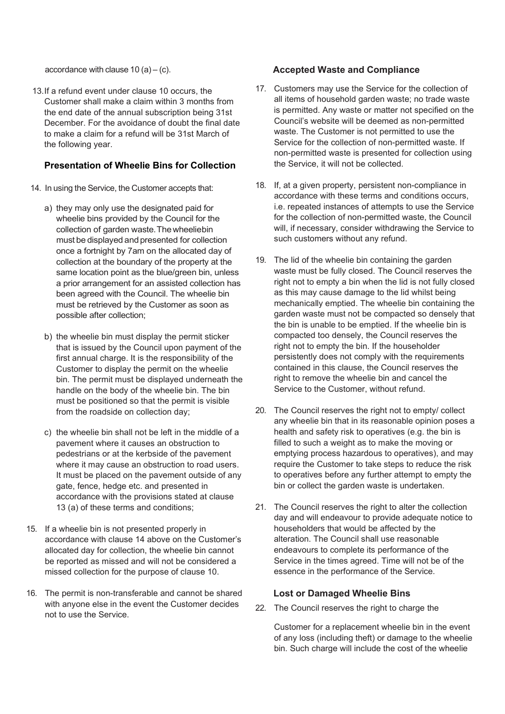accordance with clause  $10 (a) - (c)$ .

 13.If a refund event under clause 10 occurs, the Customer shall make a claim within 3 months from the end date of the annual subscription being 31st December. For the avoidance of doubt the final date to make a claim for a refund will be 31st March of the following year.

## Presentation of Wheelie Bins for Collection

- 14. In using the Service, the Customer accepts that:
	- a) they may only use the designated paid for wheelie bins provided by the Council for the collection of garden waste.Thewheeliebin once a fortnight by 7am on the allocated day of collection at the boundary of the property at the same location point as the blue/green bin, unless a prior arrangement for an assisted collection has been agreed with the Council. The wheelie bin must be retrieved by the Customer as soon as possible after collection; must be displayed and presented for collection
	- b) the wheelie bin must display the permit sticker that is issued by the Council upon payment of the first annual charge. It is the responsibility of the Customer to display the permit on the wheelie bin. The permit must be displayed underneath the handle on the body of the wheelie bin. The bin must be positioned so that the permit is visible from the roadside on collection day;
	- c) the wheelie bin shall not be left in the middle of a pavement where it causes an obstruction to pedestrians or at the kerbside of the pavement where it may cause an obstruction to road users. It must be placed on the pavement outside of any gate, fence, hedge etc. and presented in accordance with the provisions stated at clause 13 (a) of these terms and conditions;
- 15. If a wheelie bin is not presented properly in accordance with clause 14 above on the Customer's allocated day for collection, the wheelie bin cannot be reported as missed and will not be considered a missed collection for the purpose of clause 10.
- 16. The permit is non-transferable and cannot be shared with anyone else in the event the Customer decides not to use the Service.

## Accepted Waste and Compliance

- 17. Customers may use the Service for the collection of all items of household garden waste; no trade waste is permitted. Any waste or matter not specified on the Council's website will be deemed as non-permitted waste. The Customer is not permitted to use the Service for the collection of non-permitted waste. If non-permitted waste is presented for collection using the Service, it will not be collected.
- 18. If, at a given property, persistent non-compliance in accordance with these terms and conditions occurs, i.e. repeated instances of attempts to use the Service for the collection of non-permitted waste, the Council will, if necessary, consider withdrawing the Service to such customers without any refund.
- 19. The lid of the wheelie bin containing the garden waste must be fully closed. The Council reserves the right not to empty a bin when the lid is not fully closed as this may cause damage to the lid whilst being mechanically emptied. The wheelie bin containing the garden waste must not be compacted so densely that the bin is unable to be emptied. If the wheelie bin is compacted too densely, the Council reserves the right not to empty the bin. If the householder persistently does not comply with the requirements contained in this clause, the Council reserves the right to remove the wheelie bin and cancel the Service to the Customer, without refund.
- 20. The Council reserves the right not to empty/ collect any wheelie bin that in its reasonable opinion poses a health and safety risk to operatives (e.g. the bin is filled to such a weight as to make the moving or emptying process hazardous to operatives), and may require the Customer to take steps to reduce the risk to operatives before any further attempt to empty the bin or collect the garden waste is undertaken.
- 21. The Council reserves the right to alter the collection day and will endeavour to provide adequate notice to householders that would be affected by the alteration. The Council shall use reasonable endeavours to complete its performance of the Service in the times agreed. Time will not be of the essence in the performance of the Service.

# Lost or Damaged Wheelie Bins

22. The Council reserves the right to charge the

 Customer for a replacement wheelie bin in the event of any loss (including theft) or damage to the wheelie bin. Such charge will include the cost of the wheelie